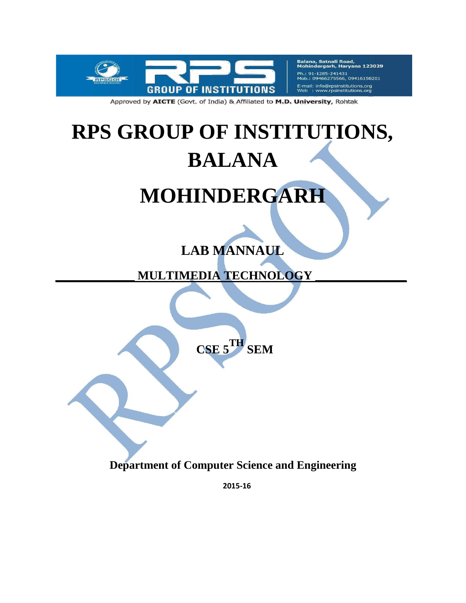

Balana, Satnali Road,<br>Mohindergarh, Haryana 123029 Ph.: 91-1285-241431 09466275566, 09416150201 E-mail: info@rpsinstitutions.org<br>Web : www.rpsinstitutions.org

Approved by AICTE (Govt. of India) & Affiliated to M.D. University, Rohtak

# **RPS GROUP OF INSTITUTIONS, BALANA**

## **MOHINDERGARH**

### **LAB MANNAUL**

**\_\_\_\_\_\_\_\_\_\_\_\_\_ MULTIMEDIA TECHNOLOGY \_\_\_\_\_\_\_\_\_\_\_\_\_\_\_**

**CSE 5TH SEM**

**Department of Computer Science and Engineering**

**2015-16**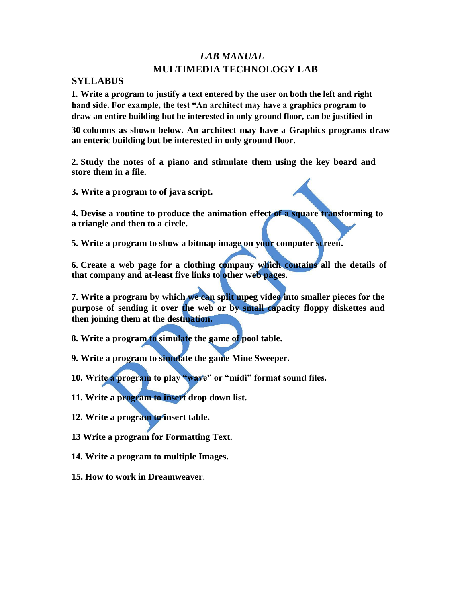#### *LAB MANUAL* **MULTIMEDIA TECHNOLOGY LAB**

#### **SYLLABUS**

**1. Write a program to justify a text entered by the user on both the left and right hand side. For example, the test "An architect may have a graphics program to draw an entire building but be interested in only ground floor, can be justified in** 

**30 columns as shown below. An architect may have a Graphics programs draw an enteric building but be interested in only ground floor.** 

**2. Study the notes of a piano and stimulate them using the key board and store them in a file.** 

**3. Write a program to of java script.** 

**4. Devise a routine to produce the animation effect of a square transforming to a triangle and then to a circle.** 

**5. Write a program to show a bitmap image on your computer screen.** 

**6. Create a web page for a clothing company which contains all the details of that company and at-least five links to other web pages.** 

**7. Write a program by which we can split mpeg video into smaller pieces for the purpose of sending it over the web or by small capacity floppy diskettes and then joining them at the destination.** 

**8. Write a program to simulate the game of pool table.** 

**9. Write a program to simulate the game Mine Sweeper.** 

**10. Write a program to play "wave" or "midi" format sound files.** 

**11. Write a program to insert drop down list.** 

**12. Write a program to insert table.** 

**13 Write a program for Formatting Text.**

**14. Write a program to multiple Images.** 

**15. How to work in Dreamweaver**.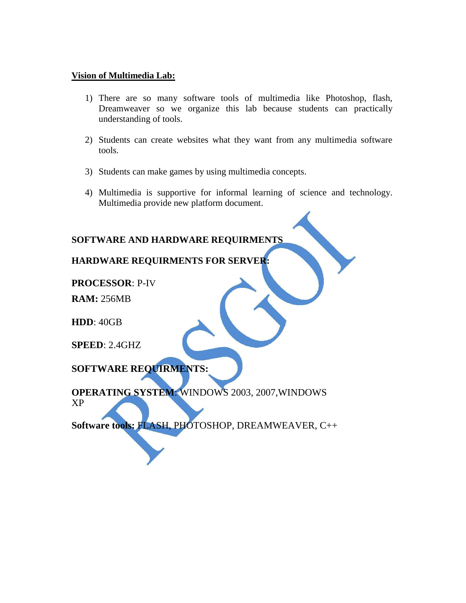#### **Vision of Multimedia Lab:**

- 1) There are so many software tools of multimedia like Photoshop, flash, Dreamweaver so we organize this lab because students can practically understanding of tools.
- 2) Students can create websites what they want from any multimedia software tools.
- 3) Students can make games by using multimedia concepts.
- 4) Multimedia is supportive for informal learning of science and technology. Multimedia provide new platform document.

#### **SOFTWARE AND HARDWARE REQUIRMENTS**

#### **HARDWARE REQUIRMENTS FOR SERVER:**

**PROCESSOR**: P-IV

**RAM:** 256MB

**HDD**: 40GB

**SPEED**: 2.4GHZ

**SOFTWARE REQUIRMENTS:**

**OPERATING SYSTEM**: WINDOWS 2003, 2007,WINDOWS XP

**Software tools:** FLASH, PHOTOSHOP, DREAMWEAVER, C++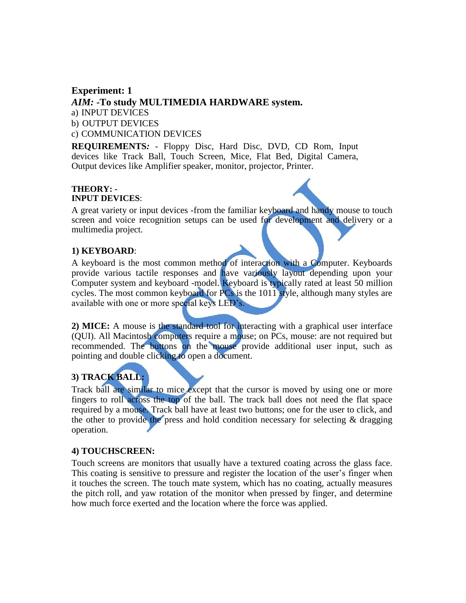#### **Experiment: 1** *AIM:* **-To study MULTIMEDIA HARDWARE system.** a) INPUT DEVICES b) OUTPUT DEVICES c) COMMUNICATION DEVICES

**REQUIREMENTS***:* - Floppy Disc, Hard Disc, DVD, CD Rom, Input devices like Track Ball, Touch Screen, Mice, Flat Bed, Digital Camera, Output devices like Amplifier speaker, monitor, projector, Printer.

#### **THEORY: - INPUT DEVICES**:

A great variety or input devices -from the familiar keyboard and handy mouse to touch screen and voice recognition setups can be used for development and delivery or a multimedia project.

#### **1) KEYBOARD**:

A keyboard is the most common method of interaction with a Computer. Keyboards provide various tactile responses and have variously layout depending upon your Computer system and keyboard -model. Keyboard is typically rated at least 50 million cycles. The most common keyboard for  $PCs$  is the 1011 style, although many styles are available with one or more special keys LED's.

**2) MICE:** A mouse is the standard tool for interacting with a graphical user interface (QUI). All Macintosh computers require a mouse; on PCs, mouse: are not required but recommended. The buttons on the mouse provide additional user input, such as pointing and double clicking to open a document.

#### **3) TRACK BALL:**

Track ball are similar to mice except that the cursor is moved by using one or more fingers to roll across the top of the ball. The track ball does not need the flat space required by a mouse. Track ball have at least two buttons; one for the user to click, and the other to provide the press and hold condition necessary for selecting  $\&$  dragging operation.

#### **4) TOUCHSCREEN:**

Touch screens are monitors that usually have a textured coating across the glass face. This coating is sensitive to pressure and register the location of the user's finger when it touches the screen. The touch mate system, which has no coating, actually measures the pitch roll, and yaw rotation of the monitor when pressed by finger, and determine how much force exerted and the location where the force was applied.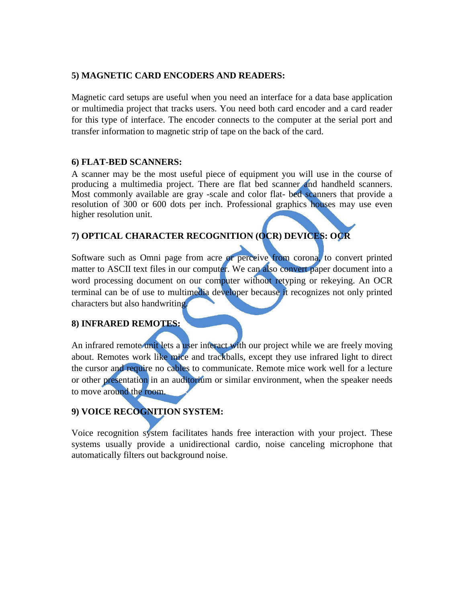#### **5) MAGNETIC CARD ENCODERS AND READERS:**

Magnetic card setups are useful when you need an interface for a data base application or multimedia project that tracks users. You need both card encoder and a card reader for this type of interface. The encoder connects to the computer at the serial port and transfer information to magnetic strip of tape on the back of the card.

#### **6) FLAT-BED SCANNERS:**

A scanner may be the most useful piece of equipment you will use in the course of producing a multimedia project. There are flat bed scanner and handheld scanners. Most commonly available are gray -scale and color flat- bed scanners that provide a resolution of 300 or 600 dots per inch. Professional graphics houses may use even higher resolution unit.

#### **7) OPTICAL CHARACTER RECOGNITION (OCR) DEVICES: OCR**

Software such as Omni page from acre or perceive from corona, to convert printed matter to ASCII text files in our computer. We can also convert paper document into a word processing document on our computer without retyping or rekeying. An OCR terminal can be of use to multimedia developer because it recognizes not only printed characters but also handwriting.

#### **8) INFRARED REMOTES:**

An infrared remote unit lets a user interact with our project while we are freely moving about. Remotes work like mice and trackballs, except they use infrared light to direct the cursor and require no cables to communicate. Remote mice work well for a lecture or other presentation in an auditorium or similar environment, when the speaker needs to move around the room.

#### **9) VOICE RECOGNITION SYSTEM:**

Voice recognition system facilitates hands free interaction with your project. These systems usually provide a unidirectional cardio, noise canceling microphone that automatically filters out background noise.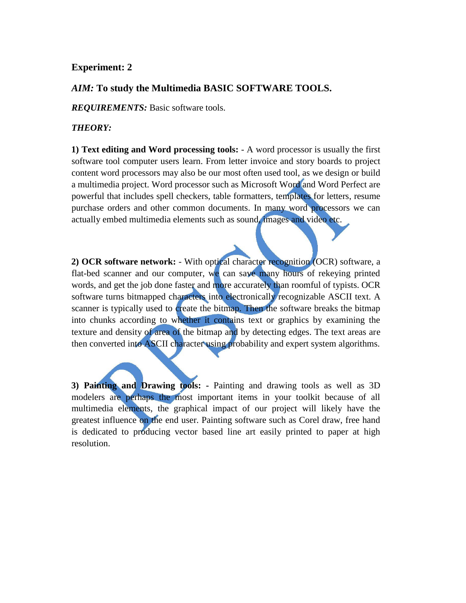#### **Experiment: 2**

#### *AIM:* **To study the Multimedia BASIC SOFTWARE TOOLS.**

*REQUIREMENTS:* Basic software tools.

#### *THEORY:*

**1) Text editing and Word processing tools:** - A word processor is usually the first software tool computer users learn. From letter invoice and story boards to project content word processors may also be our most often used tool, as we design or build a multimedia project. Word processor such as Microsoft Word and Word Perfect are powerful that includes spell checkers, table formatters, templates for letters, resume purchase orders and other common documents. In many word processors we can actually embed multimedia elements such as sound, images and video etc.

**2) OCR software network:** - With optical character recognition (OCR) software, a flat-bed scanner and our computer, we can save many hours of rekeying printed words, and get the job done faster and more accurately than roomful of typists. OCR software turns bitmapped characters into electronically recognizable ASCII text. A scanner is typically used to create the bitmap. Then the software breaks the bitmap into chunks according to whether it contains text or graphics by examining the texture and density of area of the bitmap and by detecting edges. The text areas are then converted into ASCII character using probability and expert system algorithms.

**3) Painting and Drawing tools: -** Painting and drawing tools as well as 3D modelers are perhaps the most important items in your toolkit because of all multimedia elements, the graphical impact of our project will likely have the greatest influence on the end user. Painting software such as Corel draw, free hand is dedicated to producing vector based line art easily printed to paper at high resolution.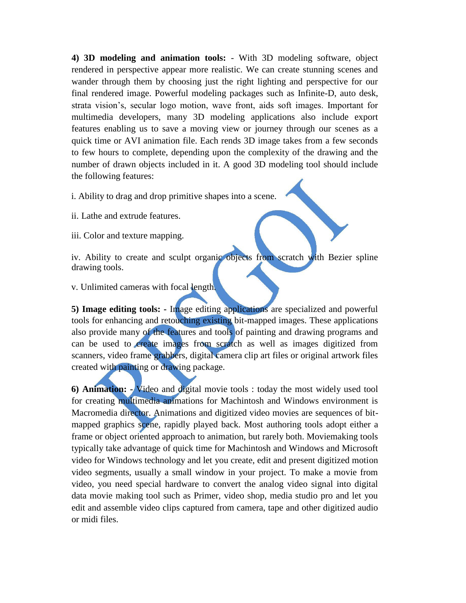**4) 3D modeling and animation tools:** - With 3D modeling software, object rendered in perspective appear more realistic. We can create stunning scenes and wander through them by choosing just the right lighting and perspective for our final rendered image. Powerful modeling packages such as Infinite-D, auto desk, strata vision's, secular logo motion, wave front, aids soft images. Important for multimedia developers, many 3D modeling applications also include export features enabling us to save a moving view or journey through our scenes as a quick time or AVI animation file. Each rends 3D image takes from a few seconds to few hours to complete, depending upon the complexity of the drawing and the number of drawn objects included in it. A good 3D modeling tool should include the following features:

i. Ability to drag and drop primitive shapes into a scene.

ii. Lathe and extrude features.

iii. Color and texture mapping.

iv. Ability to create and sculpt organic objects from scratch with Bezier spline drawing tools.

v. Unlimited cameras with focal length.

**5) Image editing tools: -** Image editing applications are specialized and powerful tools for enhancing and retouching existing bit-mapped images. These applications also provide many of the features and tools of painting and drawing programs and can be used to create images from scratch as well as images digitized from scanners, video frame grabbers, digital camera clip art files or original artwork files created with painting or drawing package.

**6) Animation: -** Video and digital movie tools : today the most widely used tool for creating multimedia animations for Machintosh and Windows environment is Macromedia director. Animations and digitized video movies are sequences of bitmapped graphics scene, rapidly played back. Most authoring tools adopt either a frame or object oriented approach to animation, but rarely both. Moviemaking tools typically take advantage of quick time for Machintosh and Windows and Microsoft video for Windows technology and let you create, edit and present digitized motion video segments, usually a small window in your project. To make a movie from video, you need special hardware to convert the analog video signal into digital data movie making tool such as Primer, video shop, media studio pro and let you edit and assemble video clips captured from camera, tape and other digitized audio or midi files.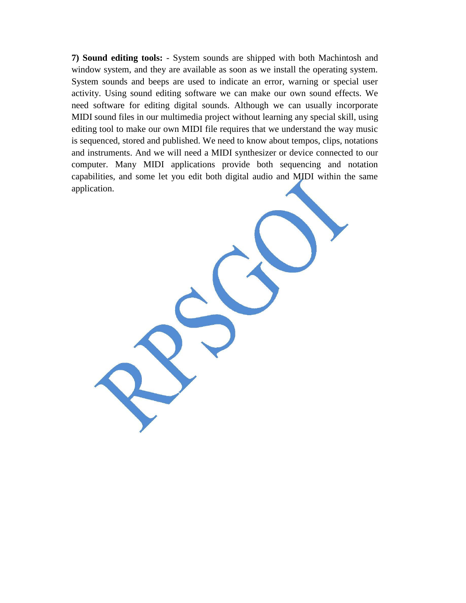**7) Sound editing tools:** - System sounds are shipped with both Machintosh and window system, and they are available as soon as we install the operating system. System sounds and beeps are used to indicate an error, warning or special user activity. Using sound editing software we can make our own sound effects. We need software for editing digital sounds. Although we can usually incorporate MIDI sound files in our multimedia project without learning any special skill, using editing tool to make our own MIDI file requires that we understand the way music is sequenced, stored and published. We need to know about tempos, clips, notations and instruments. And we will need a MIDI synthesizer or device connected to our computer. Many MIDI applications provide both sequencing and notation capabilities, and some let you edit both digital audio and MIDI within the same application.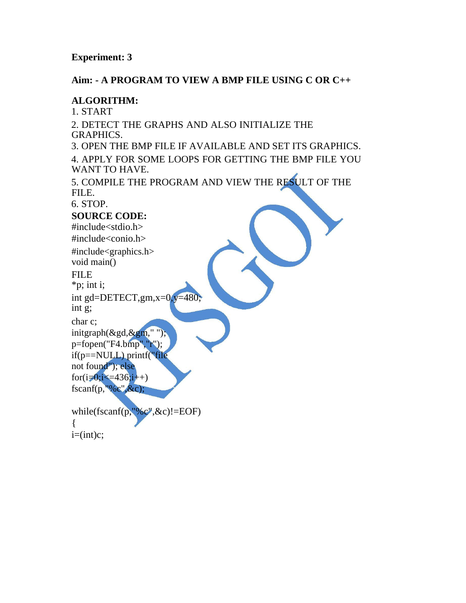#### **Experiment: 3**

#### **Aim: - A PROGRAM TO VIEW A BMP FILE USING C OR C++**

#### **ALGORITHM:**

1. START 2. DETECT THE GRAPHS AND ALSO INITIALIZE THE GRAPHICS. 3. OPEN THE BMP FILE IF AVAILABLE AND SET ITS GRAPHICS. 4. APPLY FOR SOME LOOPS FOR GETTING THE BMP FILE YOU WANT TO HAVE. 5. COMPILE THE PROGRAM AND VIEW THE RESULT OF THE FILE. 6. STOP. **SOURCE CODE:** #include<stdio.h> #include<conio.h> #include<graphics.h> void main() FILE \*p; int i; int gd=DETECT,gm,x=0,y=480; int g; char c; initgraph(&gd,&gm," "); p=fopen("F4.bmp","r"); if(p==NULL) printf("file not found"); else for( $i=0$ ; $i=436$ ; $i++$ ) fscanf(p,"%c",&c); while(fscanf(p,"% $e^{\prime\prime}$ , &c)!=EOF) {  $i=(int)c;$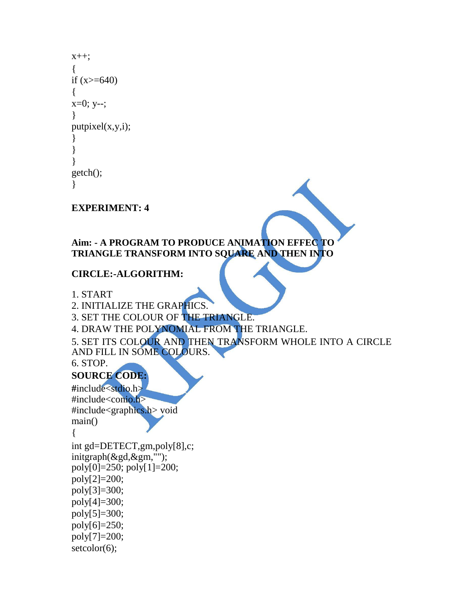```
x++;
{
if (x>=640){
x=0; y-;
}
putpixel(x,y,i);
}
}
}
getch();
}
```
#### **EXPERIMENT: 4**

#### **Aim: - A PROGRAM TO PRODUCE ANIMATION EFFEC TO TRIANGLE TRANSFORM INTO SQUARE AND THEN INTO**

#### **CIRCLE:-ALGORITHM:**

```
1. START
```
2. INITIALIZE THE GRAPHICS.

```
3. SET THE COLOUR OF THE TRIANGLE.
```

```
4. DRAW THE POLYNOMIAL FROM THE TRIANGLE.
```

```
5. SET ITS COLOUR AND THEN TRANSFORM WHOLE INTO A CIRCLE 
AND FILL IN SOME COLOURS.
```
6. STOP.

#### **SOURCE CODE:**

**#**include<stdio.h> #include<conio.h> #include<graphics.h> void main()

{

```
int gd=DETECT,gm,poly[8],c; 
initgraph(&gd,&gm,""); 
poly[0]=250; poly[1]=200;
poly[2]=200;
poly[3]=300;
poly[4]=300;
poly[5]=300;
poly[6] = 250;poly[7]=200;
setcolor(6);
```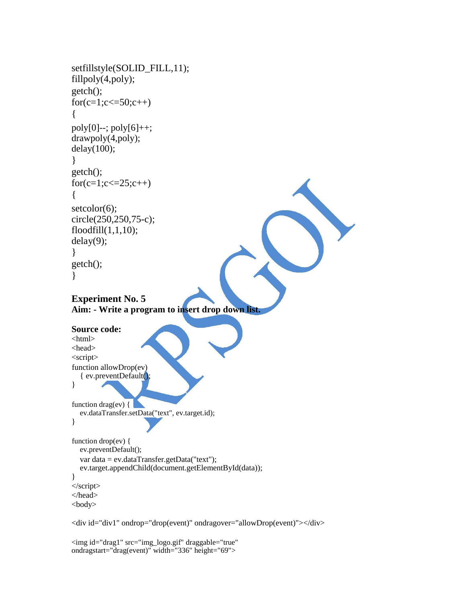```
setfillstyle(SOLID_FILL,11); 
fillpoly(4,poly);
getch();
for(c=1;c\le=50;c++)
\left\{ \right.poly[0]--; poly[6]++;
drawpoly(4,poly); 
delay(100);}
getch();
for(c=1;c\le=25;c++)
{
setcolor(6);
circle(250,250,75-c); 
floodfill(1,1,10);
delay(9);
}
getch();
}
Experiment No. 5
Aim: - Write a program to insert drop down list.
Source code:
\langlehtml><head>
<script>
function allowDrop(ev) 
   { ev.preventDefault();
}
function drag(ev) \left\{ \right.ev.dataTransfer.setData("text", ev.target.id);
}
function drop(ev) { 
  ev.preventDefault();
  var data = ev.dataTransfer.getData("text");
  ev.target.appendChild(document.getElementById(data));
}
</script>
</head>
<body>
```

```
<div id="div1" ondrop="drop(event)" ondragover="allowDrop(event)"></div>
```

```
<img id="drag1" src="img_logo.gif" draggable="true" 
ondragstart="drag(event)" width="336" height="69">
```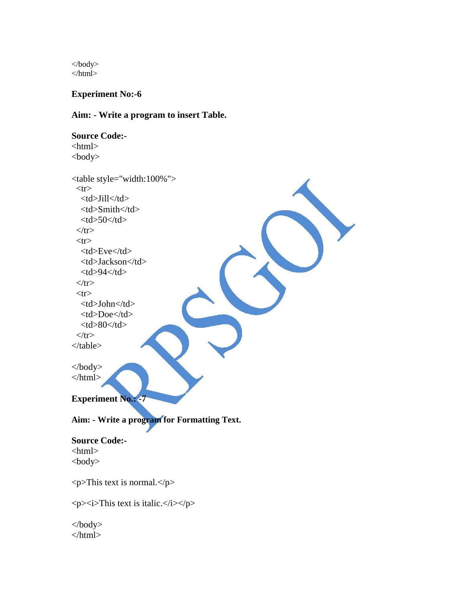</body> </html>

**Experiment No:-6**

**Aim: - Write a program to insert Table.**

**Source Code:-** <html> <body> <table style="width:100%">  $<$ tr $>$ <td>Jill</td> <td>Smith</td>  $<$ td $>50$  $<$ /td $>$  $\langle tr \rangle$  $<$ tr $>$ <td>Eve</td> <td>Jackson</td>  $<$ td $>$ 94 $<$ /td $>$  $\langle tr \rangle$  $<$ tr $>$ <td>John</td> <td>Doe</td>  $80 |$  $\langle tr \rangle$ </table> </body> </html> **Experiment No.: -7 Aim: - Write a program for Formatting Text. Source Code:-** <html> <body>  $\langle p\rangle$ This text is normal. $\langle p\rangle$ <p><i>This text is italic.</i></p> </body>

</html>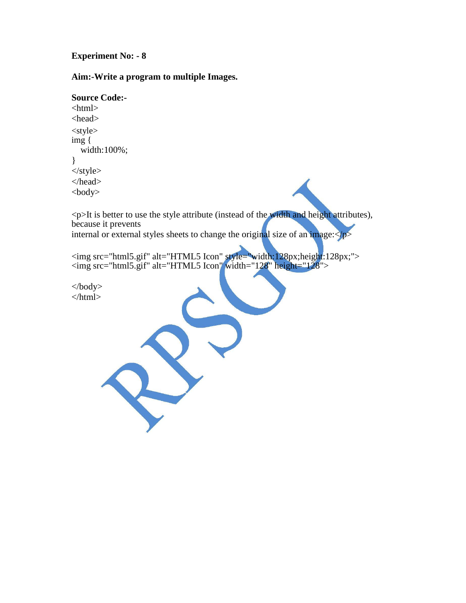#### **Experiment No: - 8**

#### **Aim:-Write a program to multiple Images.**

```
Source Code:-
<html>
<head>
<style> 
img {
  width:100%;
}
</style>
</head>
```
<p>It is better to use the style attribute (instead of the width and height attributes), because it prevents internal or external styles sheets to change the original size of an image: $\langle p \rangle$ 

<img src="html5.gif" alt="HTML5 Icon" style="width:128px;height:128px;"> <img src="html5.gif" alt="HTML5 Icon" width="128" height="128">

</body> </html>

<body>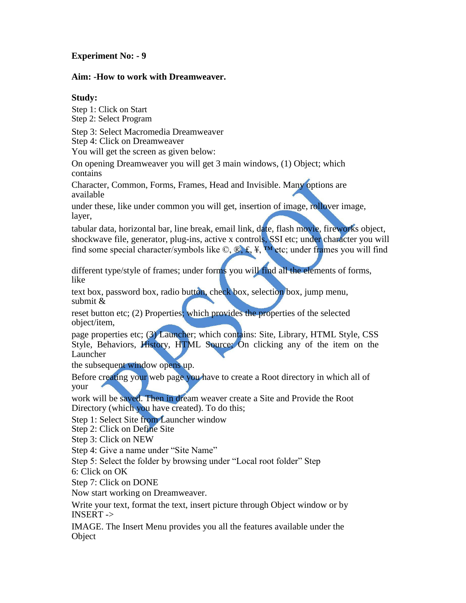#### **Experiment No: - 9**

#### **Aim: -How to work with Dreamweaver.**

#### **Study:**

Step 1: Click on Start Step 2: Select Program

Step 3: Select Macromedia Dreamweaver

Step 4: Click on Dreamweaver

You will get the screen as given below:

On opening Dreamweaver you will get 3 main windows, (1) Object; which contains

Character, Common, Forms, Frames, Head and Invisible. Many options are available

under these, like under common you will get, insertion of image, rollover image, layer,

tabular data, horizontal bar, line break, email link, date, flash movie, fireworks object, shockwave file, generator, plug-ins, active x controls, SSI etc; under character you will find some special character/symbols like  $\mathbb{Q}, \mathbb{R}, \mathbb{E}, \mathbb{Y}$ , we etc; under frames you will find

different type/style of frames; under forms you will find all the elements of forms, like

text box, password box, radio button, check box, selection box, jump menu, submit &

reset button etc; (2) Properties; which provides the properties of the selected object/item,

page properties etc; (3) Launcher; which contains: Site, Library, HTML Style, CSS Style, Behaviors, History, HTML Source; On clicking any of the item on the Launcher

the subsequent window opens up.

Before creating your web page you have to create a Root directory in which all of your

work will be saved. Then in dream weaver create a Site and Provide the Root Directory (which you have created). To do this;

Step 1: Select Site from Launcher window

Step 2: Click on Define Site

Step 3: Click on NEW

Step 4: Give a name under "Site Name"

Step 5: Select the folder by browsing under "Local root folder" Step

6: Click on OK

Step 7: Click on DONE

Now start working on Dreamweaver.

Write your text, format the text, insert picture through Object window or by INSERT ->

IMAGE. The Insert Menu provides you all the features available under the **Object**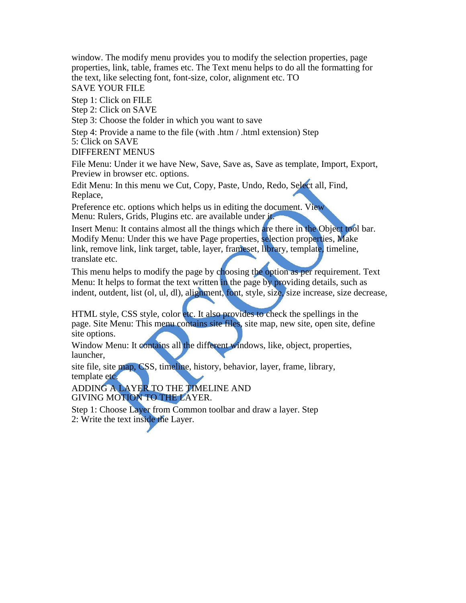window. The modify menu provides you to modify the selection properties, page properties, link, table, frames etc. The Text menu helps to do all the formatting for the text, like selecting font, font-size, color, alignment etc. TO

SAVE YOUR FILE

Step 1: Click on FILE

Step 2: Click on SAVE

Step 3: Choose the folder in which you want to save

Step 4: Provide a name to the file (with .htm / .html extension) Step 5: Click on SAVE

DIFFERENT MENUS

File Menu: Under it we have New, Save, Save as, Save as template, Import, Export, Preview in browser etc. options.

Edit Menu: In this menu we Cut, Copy, Paste, Undo, Redo, Select all, Find, Replace,

Preference etc. options which helps us in editing the document. View Menu: Rulers, Grids, Plugins etc. are available under it.

Insert Menu: It contains almost all the things which are there in the Object tool bar. Modify Menu: Under this we have Page properties, selection properties, Make link, remove link, link target, table, layer, frameset, library, template, timeline, translate etc.

This menu helps to modify the page by choosing the option as per requirement. Text Menu: It helps to format the text written in the page by providing details, such as indent, outdent, list (ol, ul, dl), alignment, font, style, size, size increase, size decrease,

HTML style, CSS style, color etc. It also provides to check the spellings in the page. Site Menu: This menu contains site files, site map, new site, open site, define site options.

Window Menu: It contains all the different windows, like, object, properties, launcher,

site file, site map, CSS, timeline, history, behavior, layer, frame, library, template etc.

ADDING A LAYER TO THE TIMELINE AND GIVING MOTION TO THE LAYER.

Step 1: Choose Layer from Common toolbar and draw a layer. Step 2: Write the text inside the Layer.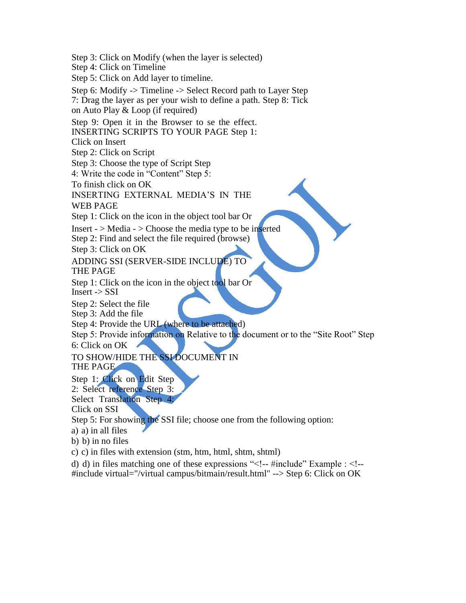Step 3: Click on Modify (when the layer is selected) Step 4: Click on Timeline Step 5: Click on Add layer to timeline. Step 6: Modify -> Timeline -> Select Record path to Layer Step 7: Drag the layer as per your wish to define a path. Step 8: Tick on Auto Play & Loop (if required) Step 9: Open it in the Browser to se the effect. INSERTING SCRIPTS TO YOUR PAGE Step 1: Click on Insert Step 2: Click on Script Step 3: Choose the type of Script Step 4: Write the code in "Content" Step 5: To finish click on OK INSERTING EXTERNAL MEDIA'S IN THE WEB PAGE Step 1: Click on the icon in the object tool bar Or Insert -  $>$  Media -  $>$  Choose the media type to be inserted Step 2: Find and select the file required (browse) Step 3: Click on OK ADDING SSI (SERVER-SIDE INCLUDE) TO THE PAGE Step 1: Click on the icon in the object tool bar Or Insert -> SSI Step 2: Select the file Step 3: Add the file Step 4: Provide the URL (where to be attached) Step 5: Provide information on Relative to the document or to the "Site Root" Step 6: Click on OK TO SHOW/HIDE THE SSI DOCUMENT IN THE PAGE Step 1: Click on Edit Step 2: Select reference Step 3: Select Translation Step 4: Click on SSI Step 5: For showing the SSI file; choose one from the following option: a) a) in all files b) b) in no files c) c) in files with extension (stm, htm, html, shtm, shtml)

d) d) in files matching one of these expressions "<!-- #include" Example : <!--

#include virtual="/virtual campus/bitmain/result.html" --> Step 6: Click on OK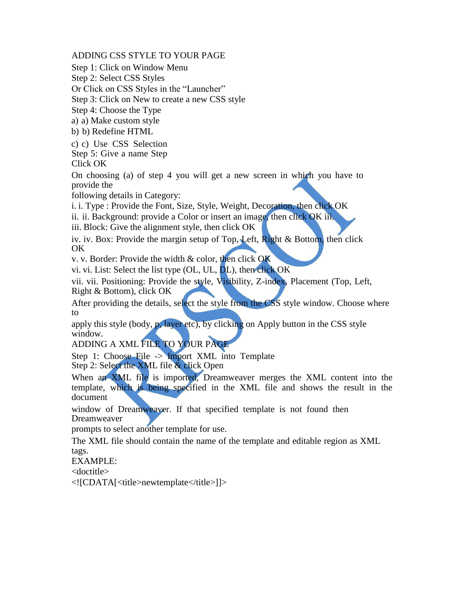ADDING CSS STYLE TO YOUR PAGE

Step 1: Click on Window Menu

Step 2: Select CSS Styles

Or Click on CSS Styles in the "Launcher"

Step 3: Click on New to create a new CSS style

Step 4: Choose the Type

a) a) Make custom style

b) b) Redefine HTML

c) c) Use CSS Selection Step 5: Give a name Step Click OK

On choosing (a) of step 4 you will get a new screen in which you have to provide the

following details in Category:

i. i. Type : Provide the Font, Size, Style, Weight, Decoration, then click OK

ii. ii. Background: provide a Color or insert an image, then click OK iii.

iii. Block: Give the alignment style, then click OK

iv. iv. Box: Provide the margin setup of Top, Left, Right & Bottom, then click OK

v. v. Border: Provide the width & color, then click OK

vi. vi. List: Select the list type (OL, UL, DL), then click OK

vii. vii. Positioning: Provide the style, Visibility, Z-index, Placement (Top, Left, Right & Bottom), click OK

After providing the details, select the style from the CSS style window. Choose where to

apply this style (body, p, layer etc), by clicking on Apply button in the CSS style window.

ADDING A XML FILE TO YOUR PAGE

Step 1: Choose File -> Import XML into Template Step 2: Select the XML file & click Open

When an XML file is imported, Dreamweaver merges the XML content into the template, which is being specified in the XML file and shows the result in the document

window of Dreamweaver. If that specified template is not found then Dreamweaver

prompts to select another template for use.

The XML file should contain the name of the template and editable region as XML tags.

EXAMPLE:

<doctitle>

<![CDATA[<title>newtemplate</title>]]>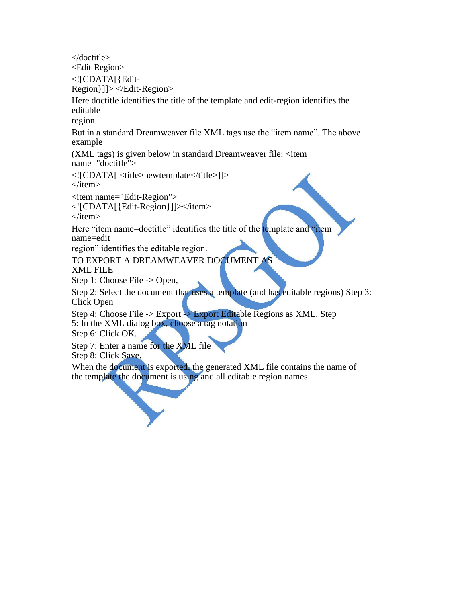</doctitle>

<Edit-Region>

<![CDATA[{Edit-

Region}]]> </Edit-Region>

Here doctitle identifies the title of the template and edit-region identifies the editable

region.

But in a standard Dreamweaver file XML tags use the "item name". The above example

 $(XML tags)$  is given below in standard Dreamweaver file:  $\langle$ item name="doctitle">

<![CDATA[ <title>newtemplate</title>]]>  $\langle$ item $\rangle$ 

<item name="Edit-Region">

<![CDATA[{Edit-Region}]]></item>

 $\langle$ item $\rangle$ 

Here "item name=doctitle" identifies the title of the template and "item" name=edit

region" identifies the editable region.

TO EXPORT A DREAMWEAVER DOCUMENT AS

XML FILE

Step 1: Choose File -> Open,

Step 2: Select the document that uses a template (and has editable regions) Step 3: Click Open

Step 4: Choose File -> Export -> Export Editable Regions as XML. Step 5: In the XML dialog box, choose a tag notation

Step 6: Click OK.

Step 7: Enter a name for the XML file

Step 8: Click Save.

When the document is exported, the generated XML file contains the name of the template the document is using and all editable region names.